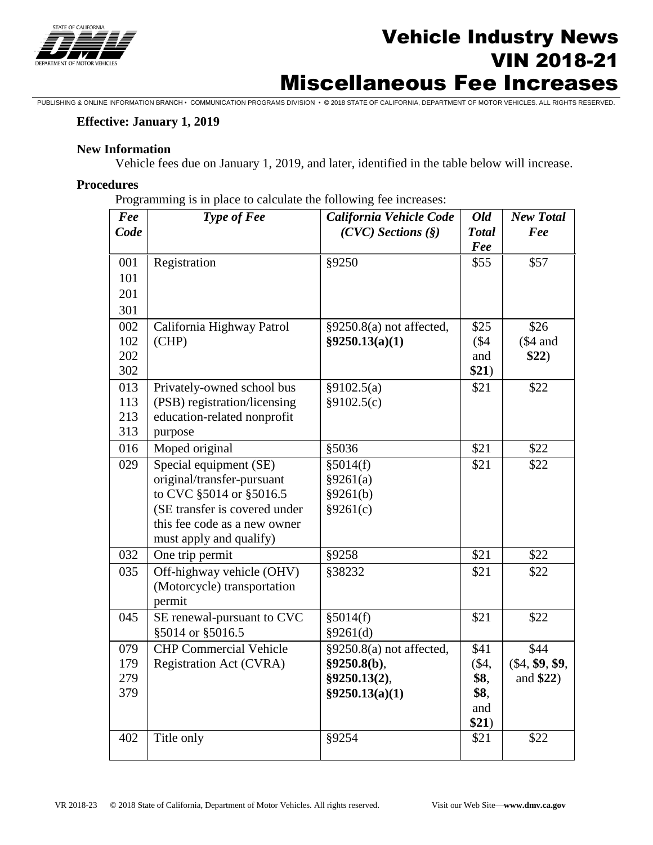

# Vehicle Industry News VIN 2018-21 Miscellaneous Fee Increases

PUBLISHING & ONLINE INFORMATION BRANCH • COMMUNICATION PROGRAMS DIVISION • © 2018 STATE OF CALIFORNIA, DEPARTMENT OF MOTOR VEHICLES. ALL RIGHTS RESERVED.

### **Effective: January 1, 2019**

### **New Information**

Vehicle fees due on January 1, 2019, and later, identified in the table below will increase.

#### **Procedures**

Programming is in place to calculate the following fee increases:

| Fee        | Type of Fee                    | California Vehicle Code  | <b>Old</b>    | <b>New Total</b>  |
|------------|--------------------------------|--------------------------|---------------|-------------------|
| Code       |                                | $(CVC)$ Sections $(\S)$  | <b>Total</b>  | Fee               |
| 001        | Registration                   | §9250                    | Fee<br>\$55   | \$57              |
| 101        |                                |                          |               |                   |
| 201        |                                |                          |               |                   |
|            |                                |                          |               |                   |
| 301        |                                |                          |               |                   |
| 002<br>102 | California Highway Patrol      | §9250.8(a) not affected, | \$25          | \$26              |
| 202        | (CHP)                          | §9250.13(a)(1)           | (\$4)<br>and  | $$4$ and          |
| 302        |                                |                          | \$21)         | \$22)             |
| 013        | Privately-owned school bus     | §9102.5(a)               | \$21          | \$22              |
| 113        | (PSB) registration/licensing   | §9102.5(c)               |               |                   |
| 213        | education-related nonprofit    |                          |               |                   |
| 313        | purpose                        |                          |               |                   |
| 016        | Moped original                 | §5036                    | \$21          | \$22              |
| 029        | Special equipment (SE)         | §5014(f)                 | \$21          | \$22              |
|            | original/transfer-pursuant     | §9261(a)                 |               |                   |
|            | to CVC §5014 or §5016.5        | §9261(b)                 |               |                   |
|            | (SE transfer is covered under  | §9261(c)                 |               |                   |
|            | this fee code as a new owner   |                          |               |                   |
|            | must apply and qualify)        |                          |               |                   |
| 032        | One trip permit                | §9258                    | \$21          | \$22              |
| 035        | Off-highway vehicle (OHV)      | §38232                   | \$21          | \$22              |
|            | (Motorcycle) transportation    |                          |               |                   |
|            | permit                         |                          |               |                   |
| 045        | SE renewal-pursuant to CVC     | §5014(f)                 | \$21          | \$22              |
|            | §5014 or §5016.5               | §9261(d)                 |               |                   |
| 079        | <b>CHP Commercial Vehicle</b>  | §9250.8(a) not affected, | \$41          | \$44              |
| 179        | <b>Registration Act (CVRA)</b> | §9250.8(b),              | $(\$4,$       | $(\$4, \$9, \$9,$ |
| 279        |                                | §9250.13(2),             | \$8,          | and \$22)         |
| 379        |                                | §9250.13(a)(1)           | \$8,          |                   |
|            |                                |                          | and           |                   |
| 402        | Title only                     | §9254                    | \$21)<br>\$21 | \$22              |
|            |                                |                          |               |                   |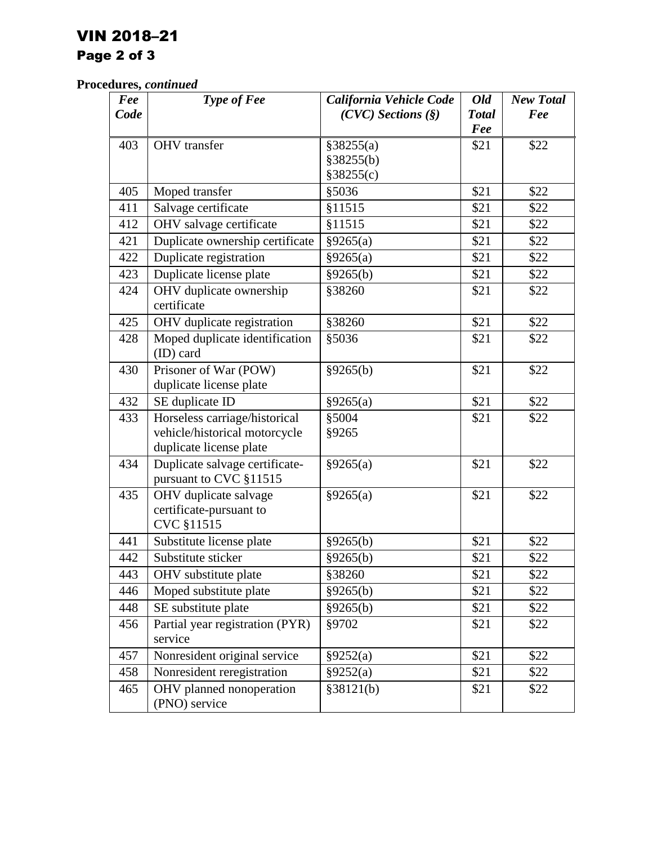# VIN 2018–21

## Page 2 of 3

## **Procedures,** *continued*

| Fee  | Type of Fee                                                    | California Vehicle Code | Old          | <b>New Total</b> |
|------|----------------------------------------------------------------|-------------------------|--------------|------------------|
| Code |                                                                | $(CVC)$ Sections $(\S)$ | <b>Total</b> | Fee              |
|      |                                                                |                         | Fee          |                  |
| 403  | <b>OHV</b> transfer                                            | §38255(a)               | \$21         | \$22             |
|      |                                                                | §38255(b)               |              |                  |
|      |                                                                | §38255(c)               |              |                  |
| 405  | Moped transfer                                                 | §5036                   | \$21         | \$22             |
| 411  | Salvage certificate                                            | §11515                  | \$21         | \$22             |
| 412  | OHV salvage certificate                                        | §11515                  | \$21         | \$22             |
| 421  | Duplicate ownership certificate                                | §9265(a)                | \$21         | \$22             |
| 422  | Duplicate registration                                         | §9265(a)                | \$21         | \$22             |
| 423  | Duplicate license plate                                        | §9265(b)                | \$21         | \$22             |
| 424  | OHV duplicate ownership<br>certificate                         | §38260                  | \$21         | \$22             |
| 425  | OHV duplicate registration                                     | §38260                  | \$21         | \$22             |
| 428  | Moped duplicate identification<br>(ID) card                    | §5036                   | \$21         | \$22             |
| 430  | Prisoner of War (POW)<br>duplicate license plate               | §9265(b)                | \$21         | \$22             |
| 432  | SE duplicate ID                                                | §9265(a)                | \$21         | \$22             |
| 433  | Horseless carriage/historical                                  | §5004                   | \$21         | \$22             |
|      | vehicle/historical motorcycle                                  | §9265                   |              |                  |
|      | duplicate license plate                                        |                         |              |                  |
| 434  | Duplicate salvage certificate-<br>pursuant to CVC §11515       | §9265(a)                | \$21         | \$22             |
| 435  | OHV duplicate salvage<br>certificate-pursuant to<br>CVC §11515 | §9265(a)                | \$21         | \$22             |
| 441  | Substitute license plate                                       | §9265(b)                | \$21         | \$22             |
| 442  | Substitute sticker                                             | §9265(b)                | \$21         | \$22             |
| 443  | OHV substitute plate                                           | §38260                  | \$21         | \$22             |
| 446  | Moped substitute plate                                         | §9265(b)                | \$21         | \$22             |
| 448  | SE substitute plate                                            | §9265(b)                | \$21         | \$22             |
| 456  | Partial year registration (PYR)<br>service                     | §9702                   | \$21         | \$22             |
| 457  | Nonresident original service                                   | §9252(a)                | \$21         | \$22             |
| 458  | Nonresident reregistration                                     | §9252(a)                | \$21         | \$22             |
| 465  | OHV planned nonoperation<br>(PNO) service                      | §38121(b)               | \$21         | \$22             |